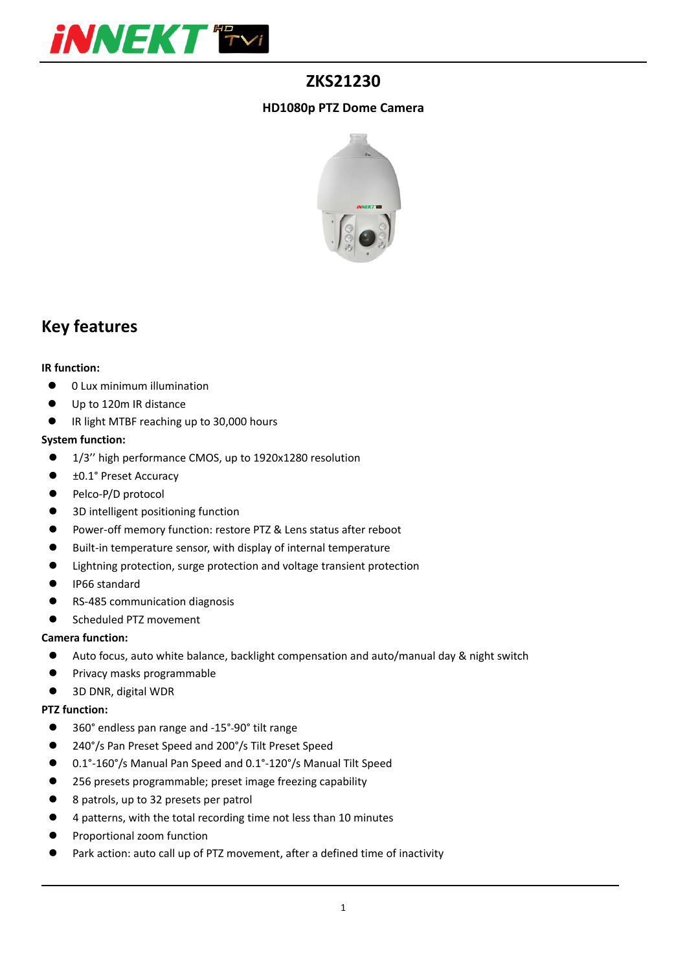

## **ZKS21230**

#### **HD1080p PTZ Dome Camera**



## **Key features**

#### **IR function:**

- 0 Lux minimum illumination
- Up to 120m IR distance
- IR light MTBF reaching up to 30,000 hours

#### **System function:**

- 1/3" high performance CMOS, up to 1920x1280 resolution
- ±0.1° Preset Accuracy
- Pelco-P/D protocol
- 3D intelligent positioning function
- Power-off memory function: restore PTZ & Lens status after reboot
- Built-in temperature sensor, with display of internal temperature
- Lightning protection, surge protection and voltage transient protection
- **IP66** standard
- RS-485 communication diagnosis
- Scheduled PTZ movement

#### **Camera function:**

- Auto focus, auto white balance, backlight compensation and auto/manual day & night switch
- **•** Privacy masks programmable
- 3D DNR, digital WDR

#### **PTZ function:**

- 360° endless pan range and -15°-90° tilt range
- 240°/s Pan Preset Speed and 200°/s Tilt Preset Speed
- 0.1°‐160°/s Manual Pan Speed and 0.1°‐120°/s Manual Tilt Speed
- 256 presets programmable; preset image freezing capability
- 8 patrols, up to 32 presets per patrol
- 4 patterns, with the total recording time not less than 10 minutes
- **•** Proportional zoom function
- Park action: auto call up of PTZ movement, after a defined time of inactivity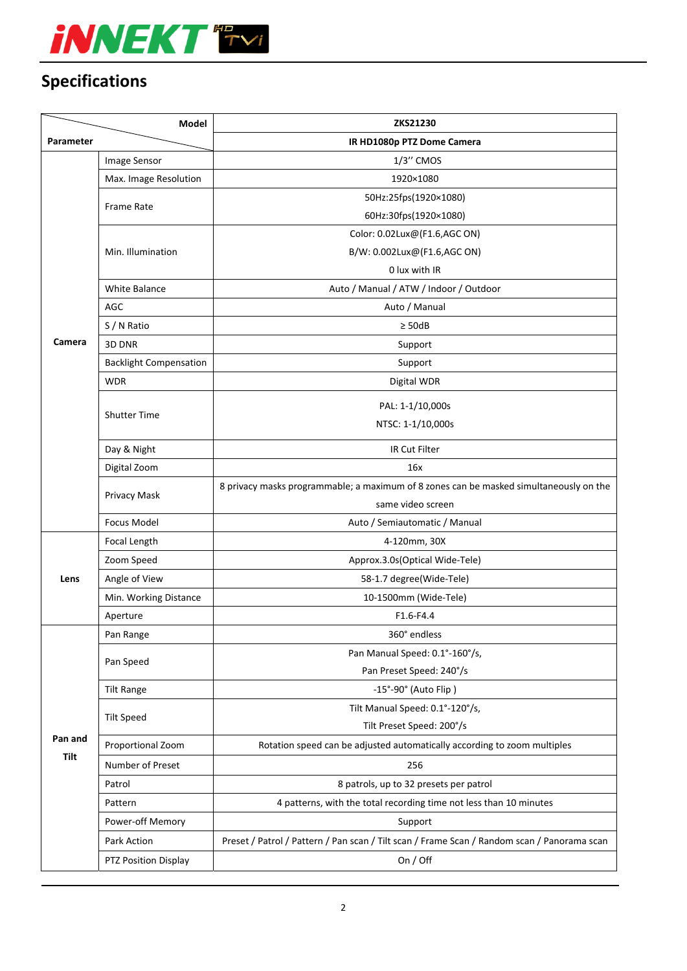

# **Specifications**

|                 | <b>Model</b>                  | ZKS21230                                                                                    |
|-----------------|-------------------------------|---------------------------------------------------------------------------------------------|
| Parameter       |                               | IR HD1080p PTZ Dome Camera                                                                  |
| Camera          | Image Sensor                  | 1/3" CMOS                                                                                   |
|                 | Max. Image Resolution         | 1920×1080                                                                                   |
|                 | Frame Rate                    | 50Hz:25fps(1920×1080)                                                                       |
|                 |                               | 60Hz:30fps(1920×1080)                                                                       |
|                 | Min. Illumination             | Color: 0.02Lux@(F1.6,AGC ON)                                                                |
|                 |                               | B/W: 0.002Lux@(F1.6,AGC ON)                                                                 |
|                 |                               | 0 lux with IR                                                                               |
|                 | <b>White Balance</b>          | Auto / Manual / ATW / Indoor / Outdoor                                                      |
|                 | AGC                           | Auto / Manual                                                                               |
|                 | S / N Ratio                   | $\geq$ 50dB                                                                                 |
|                 | 3D DNR                        | Support                                                                                     |
|                 | <b>Backlight Compensation</b> | Support                                                                                     |
|                 | <b>WDR</b>                    | Digital WDR                                                                                 |
|                 | <b>Shutter Time</b>           | PAL: 1-1/10,000s                                                                            |
|                 |                               | NTSC: 1-1/10,000s                                                                           |
|                 | Day & Night                   | IR Cut Filter                                                                               |
|                 | Digital Zoom                  | 16x                                                                                         |
|                 | Privacy Mask                  | 8 privacy masks programmable; a maximum of 8 zones can be masked simultaneously on the      |
|                 |                               | same video screen                                                                           |
|                 | <b>Focus Model</b>            | Auto / Semiautomatic / Manual                                                               |
| Lens            | Focal Length                  | 4-120mm, 30X                                                                                |
|                 | Zoom Speed                    | Approx.3.0s(Optical Wide-Tele)                                                              |
|                 | Angle of View                 | 58-1.7 degree(Wide-Tele)                                                                    |
|                 | Min. Working Distance         | 10-1500mm (Wide-Tele)                                                                       |
|                 | Aperture                      | F1.6-F4.4                                                                                   |
|                 | Pan Range                     | 360° endless                                                                                |
|                 | Pan Speed                     | Pan Manual Speed: 0.1°-160°/s,                                                              |
|                 |                               | Pan Preset Speed: 240°/s                                                                    |
|                 | <b>Tilt Range</b>             | -15°-90° (Auto Flip)                                                                        |
|                 | <b>Tilt Speed</b>             | Tilt Manual Speed: 0.1°-120°/s,                                                             |
| Pan and<br>Tilt |                               | Tilt Preset Speed: 200°/s                                                                   |
|                 | Proportional Zoom             | Rotation speed can be adjusted automatically according to zoom multiples                    |
|                 | Number of Preset              | 256                                                                                         |
|                 | Patrol                        | 8 patrols, up to 32 presets per patrol                                                      |
|                 | Pattern                       | 4 patterns, with the total recording time not less than 10 minutes                          |
|                 | Power-off Memory              | Support                                                                                     |
|                 | Park Action                   | Preset / Patrol / Pattern / Pan scan / Tilt scan / Frame Scan / Random scan / Panorama scan |
|                 | PTZ Position Display          | On / Off                                                                                    |